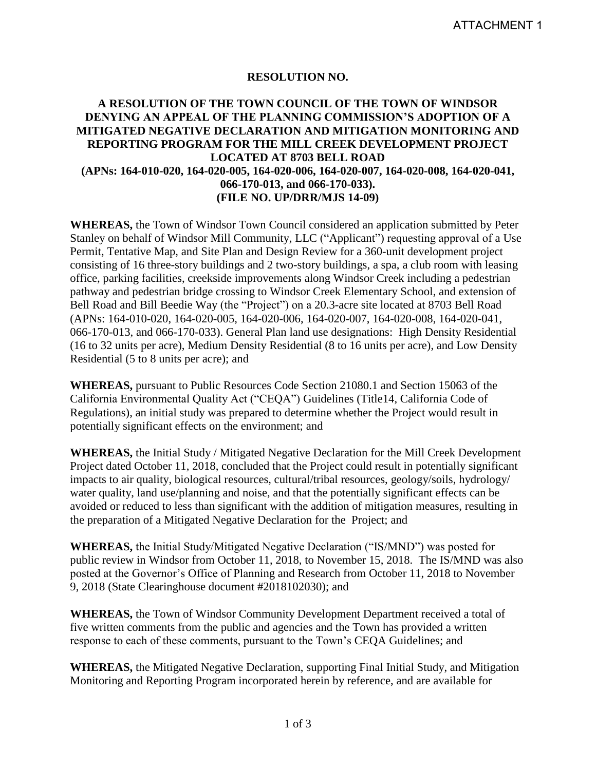#### **RESOLUTION NO.**

### **A RESOLUTION OF THE TOWN COUNCIL OF THE TOWN OF WINDSOR DENYING AN APPEAL OF THE PLANNING COMMISSION'S ADOPTION OF A MITIGATED NEGATIVE DECLARATION AND MITIGATION MONITORING AND REPORTING PROGRAM FOR THE MILL CREEK DEVELOPMENT PROJECT LOCATED AT 8703 BELL ROAD (APNs: 164-010-020, 164-020-005, 164-020-006, 164-020-007, 164-020-008, 164-020-041, 066-170-013, and 066-170-033). (FILE NO. UP/DRR/MJS 14-09)**

**WHEREAS,** the Town of Windsor Town Council considered an application submitted by Peter Stanley on behalf of Windsor Mill Community, LLC ("Applicant") requesting approval of a Use Permit, Tentative Map, and Site Plan and Design Review for a 360-unit development project consisting of 16 three-story buildings and 2 two-story buildings, a spa, a club room with leasing office, parking facilities, creekside improvements along Windsor Creek including a pedestrian pathway and pedestrian bridge crossing to Windsor Creek Elementary School, and extension of Bell Road and Bill Beedie Way (the "Project") on a 20.3-acre site located at 8703 Bell Road (APNs: 164-010-020, 164-020-005, 164-020-006, 164-020-007, 164-020-008, 164-020-041, 066-170-013, and 066-170-033). General Plan land use designations: High Density Residential (16 to 32 units per acre), Medium Density Residential (8 to 16 units per acre), and Low Density Residential (5 to 8 units per acre); and

**WHEREAS,** pursuant to Public Resources Code Section 21080.1 and Section 15063 of the California Environmental Quality Act ("CEQA") Guidelines (Title14, California Code of Regulations), an initial study was prepared to determine whether the Project would result in potentially significant effects on the environment; and

**WHEREAS,** the Initial Study / Mitigated Negative Declaration for the Mill Creek Development Project dated October 11, 2018, concluded that the Project could result in potentially significant impacts to air quality, biological resources, cultural/tribal resources, geology/soils, hydrology/ water quality, land use/planning and noise, and that the potentially significant effects can be avoided or reduced to less than significant with the addition of mitigation measures, resulting in the preparation of a Mitigated Negative Declaration for the Project; and

**WHEREAS,** the Initial Study/Mitigated Negative Declaration ("IS/MND") was posted for public review in Windsor from October 11, 2018, to November 15, 2018. The IS/MND was also posted at the Governor's Office of Planning and Research from October 11, 2018 to November 9, 2018 (State Clearinghouse document #2018102030); and

**WHEREAS,** the Town of Windsor Community Development Department received a total of five written comments from the public and agencies and the Town has provided a written response to each of these comments, pursuant to the Town's CEQA Guidelines; and

**WHEREAS,** the Mitigated Negative Declaration, supporting Final Initial Study, and Mitigation Monitoring and Reporting Program incorporated herein by reference, and are available for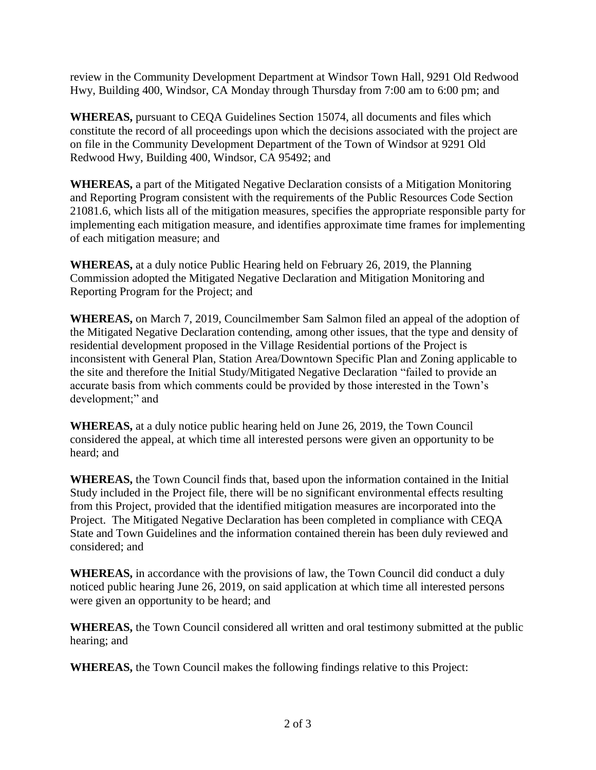review in the Community Development Department at Windsor Town Hall, 9291 Old Redwood Hwy, Building 400, Windsor, CA Monday through Thursday from 7:00 am to 6:00 pm; and

**WHEREAS,** pursuant to CEQA Guidelines Section 15074, all documents and files which constitute the record of all proceedings upon which the decisions associated with the project are on file in the Community Development Department of the Town of Windsor at 9291 Old Redwood Hwy, Building 400, Windsor, CA 95492; and

**WHEREAS,** a part of the Mitigated Negative Declaration consists of a Mitigation Monitoring and Reporting Program consistent with the requirements of the Public Resources Code Section 21081.6, which lists all of the mitigation measures, specifies the appropriate responsible party for implementing each mitigation measure, and identifies approximate time frames for implementing of each mitigation measure; and

**WHEREAS,** at a duly notice Public Hearing held on February 26, 2019, the Planning Commission adopted the Mitigated Negative Declaration and Mitigation Monitoring and Reporting Program for the Project; and

**WHEREAS,** on March 7, 2019, Councilmember Sam Salmon filed an appeal of the adoption of the Mitigated Negative Declaration contending, among other issues, that the type and density of residential development proposed in the Village Residential portions of the Project is inconsistent with General Plan, Station Area/Downtown Specific Plan and Zoning applicable to the site and therefore the Initial Study/Mitigated Negative Declaration "failed to provide an accurate basis from which comments could be provided by those interested in the Town's development;" and

**WHEREAS,** at a duly notice public hearing held on June 26, 2019, the Town Council considered the appeal, at which time all interested persons were given an opportunity to be heard; and

**WHEREAS,** the Town Council finds that, based upon the information contained in the Initial Study included in the Project file, there will be no significant environmental effects resulting from this Project, provided that the identified mitigation measures are incorporated into the Project. The Mitigated Negative Declaration has been completed in compliance with CEQA State and Town Guidelines and the information contained therein has been duly reviewed and considered; and

**WHEREAS,** in accordance with the provisions of law, the Town Council did conduct a duly noticed public hearing June 26, 2019, on said application at which time all interested persons were given an opportunity to be heard; and

**WHEREAS,** the Town Council considered all written and oral testimony submitted at the public hearing; and

**WHEREAS,** the Town Council makes the following findings relative to this Project: